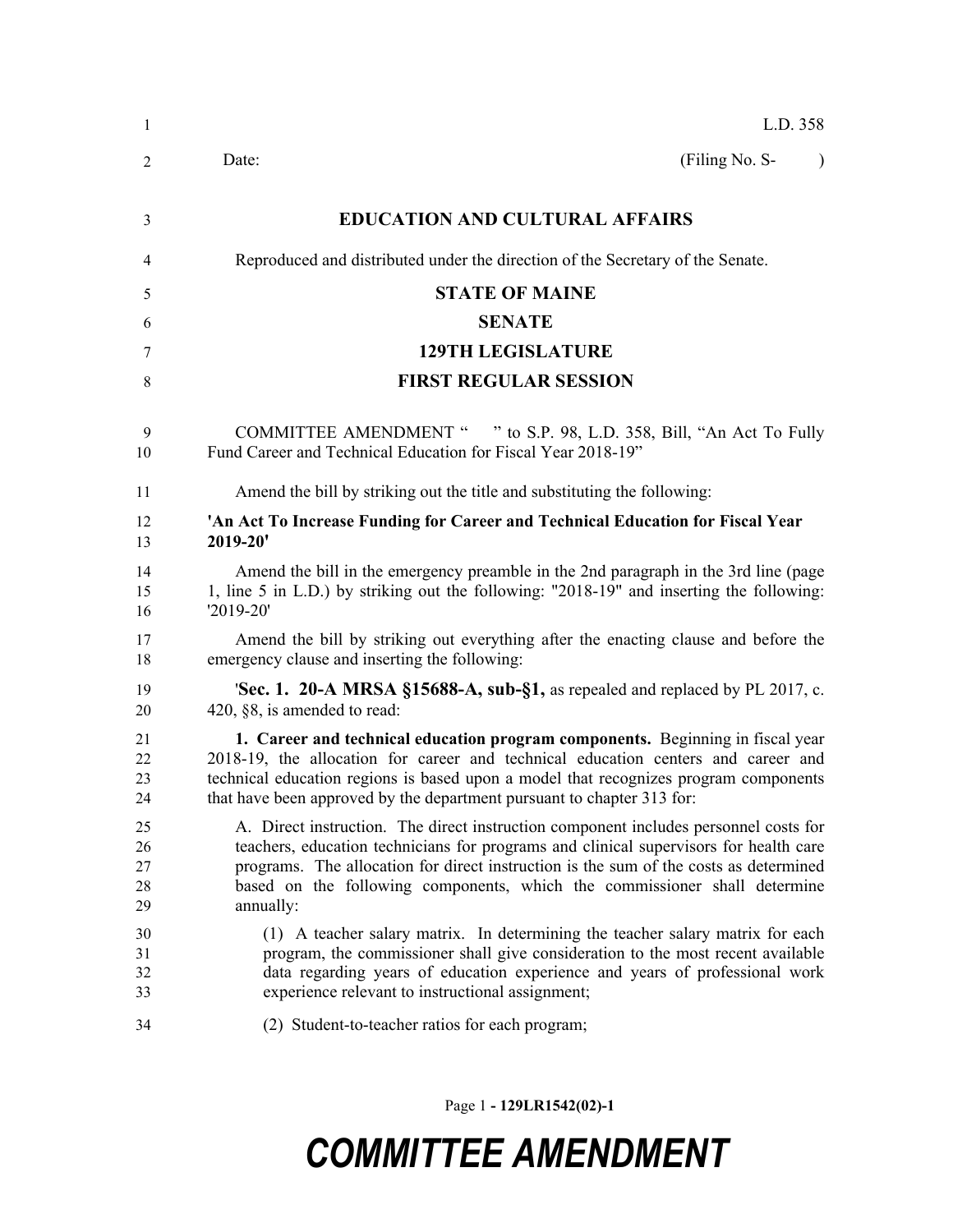| $\mathbf{1}$               | L.D. 358                                                                                                                                                                                                                                                                                                                                                         |  |  |  |
|----------------------------|------------------------------------------------------------------------------------------------------------------------------------------------------------------------------------------------------------------------------------------------------------------------------------------------------------------------------------------------------------------|--|--|--|
| 2                          | (Filing No. S-<br>Date:<br>$\lambda$                                                                                                                                                                                                                                                                                                                             |  |  |  |
| 3                          | <b>EDUCATION AND CULTURAL AFFAIRS</b>                                                                                                                                                                                                                                                                                                                            |  |  |  |
| 4                          | Reproduced and distributed under the direction of the Secretary of the Senate.                                                                                                                                                                                                                                                                                   |  |  |  |
| 5                          | <b>STATE OF MAINE</b>                                                                                                                                                                                                                                                                                                                                            |  |  |  |
| 6                          | <b>SENATE</b>                                                                                                                                                                                                                                                                                                                                                    |  |  |  |
| 7                          | <b>129TH LEGISLATURE</b>                                                                                                                                                                                                                                                                                                                                         |  |  |  |
| 8                          | <b>FIRST REGULAR SESSION</b>                                                                                                                                                                                                                                                                                                                                     |  |  |  |
| 9<br>10                    | <b>COMMITTEE AMENDMENT "</b><br>" to S.P. 98, L.D. 358, Bill, "An Act To Fully<br>Fund Career and Technical Education for Fiscal Year 2018-19"                                                                                                                                                                                                                   |  |  |  |
| 11                         | Amend the bill by striking out the title and substituting the following:                                                                                                                                                                                                                                                                                         |  |  |  |
| 12<br>13                   | 'An Act To Increase Funding for Career and Technical Education for Fiscal Year<br>2019-20'                                                                                                                                                                                                                                                                       |  |  |  |
| 14<br>15<br>16             | Amend the bill in the emergency preamble in the 2nd paragraph in the 3rd line (page<br>1, line 5 in L.D.) by striking out the following: "2018-19" and inserting the following:<br>'2019-20'                                                                                                                                                                     |  |  |  |
| 17<br>18                   | Amend the bill by striking out everything after the enacting clause and before the<br>emergency clause and inserting the following:                                                                                                                                                                                                                              |  |  |  |
| 19<br>20                   | <b>Sec. 1. 20-A MRSA §15688-A, sub-§1,</b> as repealed and replaced by PL 2017, c.<br>420, §8, is amended to read:                                                                                                                                                                                                                                               |  |  |  |
| 21<br>22<br>23<br>24       | 1. Career and technical education program components. Beginning in fiscal year<br>2018-19, the allocation for career and technical education centers and career and<br>technical education regions is based upon a model that recognizes program components<br>that have been approved by the department pursuant to chapter 313 for:                            |  |  |  |
| 25<br>26<br>27<br>28<br>29 | A. Direct instruction. The direct instruction component includes personnel costs for<br>teachers, education technicians for programs and clinical supervisors for health care<br>programs. The allocation for direct instruction is the sum of the costs as determined<br>based on the following components, which the commissioner shall determine<br>annually: |  |  |  |
| 30<br>31<br>32<br>33       | (1) A teacher salary matrix. In determining the teacher salary matrix for each<br>program, the commissioner shall give consideration to the most recent available<br>data regarding years of education experience and years of professional work<br>experience relevant to instructional assignment;                                                             |  |  |  |
| 34                         | (2) Student-to-teacher ratios for each program;                                                                                                                                                                                                                                                                                                                  |  |  |  |

Page 1 **- 129LR1542(02)-1**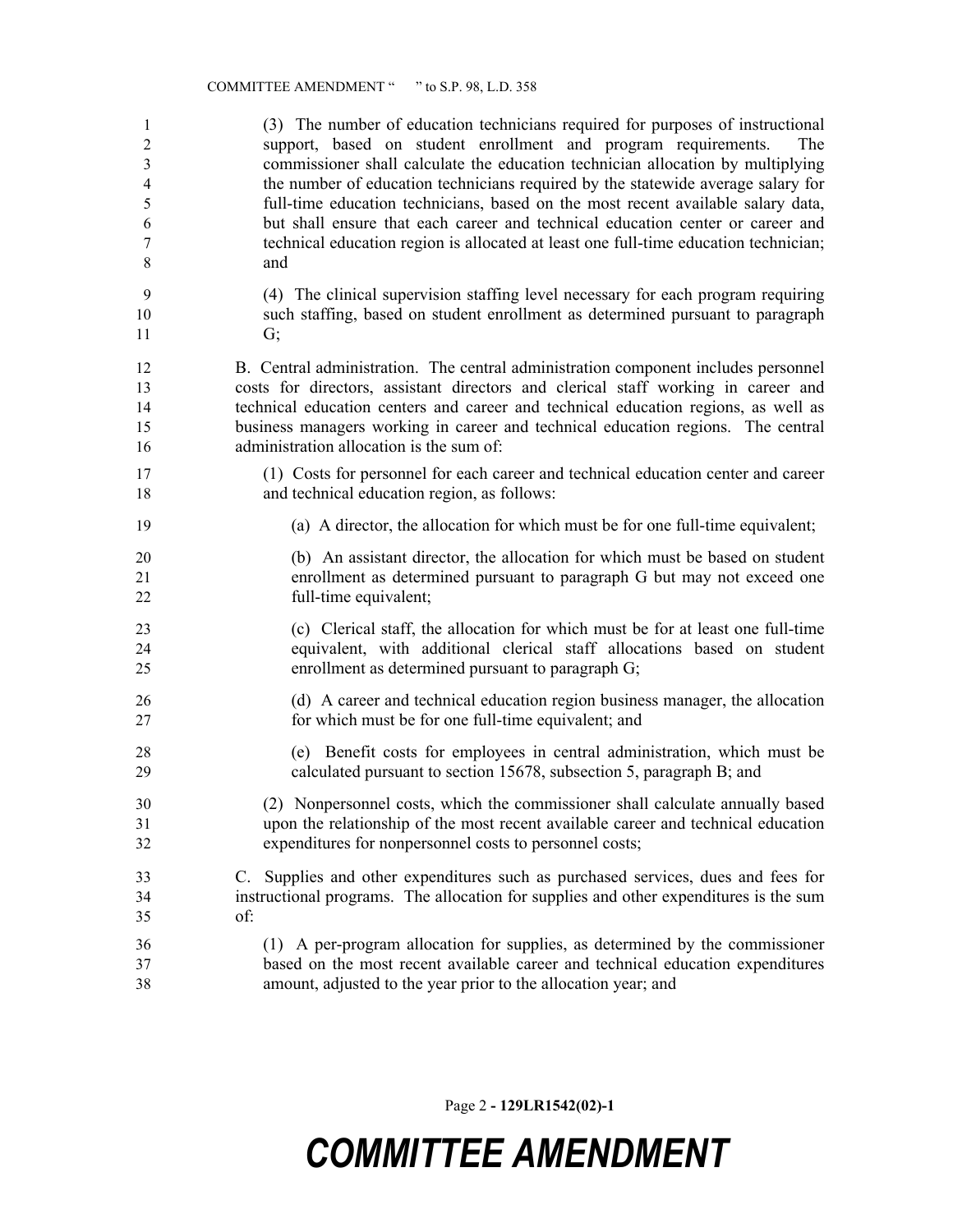| 1<br>$\overline{2}$<br>$\mathfrak{Z}$<br>$\overline{4}$<br>5<br>6<br>$\tau$<br>8 | (3) The number of education technicians required for purposes of instructional<br>support, based on student enrollment and program requirements.<br>The<br>commissioner shall calculate the education technician allocation by multiplying<br>the number of education technicians required by the statewide average salary for<br>full-time education technicians, based on the most recent available salary data,<br>but shall ensure that each career and technical education center or career and<br>technical education region is allocated at least one full-time education technician;<br>and |
|----------------------------------------------------------------------------------|-----------------------------------------------------------------------------------------------------------------------------------------------------------------------------------------------------------------------------------------------------------------------------------------------------------------------------------------------------------------------------------------------------------------------------------------------------------------------------------------------------------------------------------------------------------------------------------------------------|
| 9                                                                                | (4) The clinical supervision staffing level necessary for each program requiring                                                                                                                                                                                                                                                                                                                                                                                                                                                                                                                    |
| 10                                                                               | such staffing, based on student enrollment as determined pursuant to paragraph                                                                                                                                                                                                                                                                                                                                                                                                                                                                                                                      |
| 11                                                                               | G;                                                                                                                                                                                                                                                                                                                                                                                                                                                                                                                                                                                                  |
| 12                                                                               | B. Central administration. The central administration component includes personnel                                                                                                                                                                                                                                                                                                                                                                                                                                                                                                                  |
| 13                                                                               | costs for directors, assistant directors and clerical staff working in career and                                                                                                                                                                                                                                                                                                                                                                                                                                                                                                                   |
| 14                                                                               | technical education centers and career and technical education regions, as well as                                                                                                                                                                                                                                                                                                                                                                                                                                                                                                                  |
| 15                                                                               | business managers working in career and technical education regions. The central                                                                                                                                                                                                                                                                                                                                                                                                                                                                                                                    |
| 16                                                                               | administration allocation is the sum of:                                                                                                                                                                                                                                                                                                                                                                                                                                                                                                                                                            |
| 17                                                                               | (1) Costs for personnel for each career and technical education center and career                                                                                                                                                                                                                                                                                                                                                                                                                                                                                                                   |
| 18                                                                               | and technical education region, as follows:                                                                                                                                                                                                                                                                                                                                                                                                                                                                                                                                                         |
| 19                                                                               | (a) A director, the allocation for which must be for one full-time equivalent;                                                                                                                                                                                                                                                                                                                                                                                                                                                                                                                      |
| 20                                                                               | (b) An assistant director, the allocation for which must be based on student                                                                                                                                                                                                                                                                                                                                                                                                                                                                                                                        |
| 21                                                                               | enrollment as determined pursuant to paragraph G but may not exceed one                                                                                                                                                                                                                                                                                                                                                                                                                                                                                                                             |
| 22                                                                               | full-time equivalent;                                                                                                                                                                                                                                                                                                                                                                                                                                                                                                                                                                               |
| 23                                                                               | (c) Clerical staff, the allocation for which must be for at least one full-time                                                                                                                                                                                                                                                                                                                                                                                                                                                                                                                     |
| 24                                                                               | equivalent, with additional clerical staff allocations based on student                                                                                                                                                                                                                                                                                                                                                                                                                                                                                                                             |
| 25                                                                               | enrollment as determined pursuant to paragraph G;                                                                                                                                                                                                                                                                                                                                                                                                                                                                                                                                                   |
| 26                                                                               | (d) A career and technical education region business manager, the allocation                                                                                                                                                                                                                                                                                                                                                                                                                                                                                                                        |
| 27                                                                               | for which must be for one full-time equivalent; and                                                                                                                                                                                                                                                                                                                                                                                                                                                                                                                                                 |
| 28                                                                               | (e) Benefit costs for employees in central administration, which must be                                                                                                                                                                                                                                                                                                                                                                                                                                                                                                                            |
| 29                                                                               | calculated pursuant to section 15678, subsection 5, paragraph B; and                                                                                                                                                                                                                                                                                                                                                                                                                                                                                                                                |
| 30                                                                               | (2) Nonpersonnel costs, which the commissioner shall calculate annually based                                                                                                                                                                                                                                                                                                                                                                                                                                                                                                                       |
| 31                                                                               | upon the relationship of the most recent available career and technical education                                                                                                                                                                                                                                                                                                                                                                                                                                                                                                                   |
| 32                                                                               | expenditures for nonpersonnel costs to personnel costs;                                                                                                                                                                                                                                                                                                                                                                                                                                                                                                                                             |
| 33                                                                               | C. Supplies and other expenditures such as purchased services, dues and fees for                                                                                                                                                                                                                                                                                                                                                                                                                                                                                                                    |
| 34                                                                               | instructional programs. The allocation for supplies and other expenditures is the sum                                                                                                                                                                                                                                                                                                                                                                                                                                                                                                               |
| 35                                                                               | of:                                                                                                                                                                                                                                                                                                                                                                                                                                                                                                                                                                                                 |
| 36                                                                               | (1) A per-program allocation for supplies, as determined by the commissioner                                                                                                                                                                                                                                                                                                                                                                                                                                                                                                                        |
| 37                                                                               | based on the most recent available career and technical education expenditures                                                                                                                                                                                                                                                                                                                                                                                                                                                                                                                      |
| 38                                                                               | amount, adjusted to the year prior to the allocation year; and                                                                                                                                                                                                                                                                                                                                                                                                                                                                                                                                      |

Page 2 **- 129LR1542(02)-1**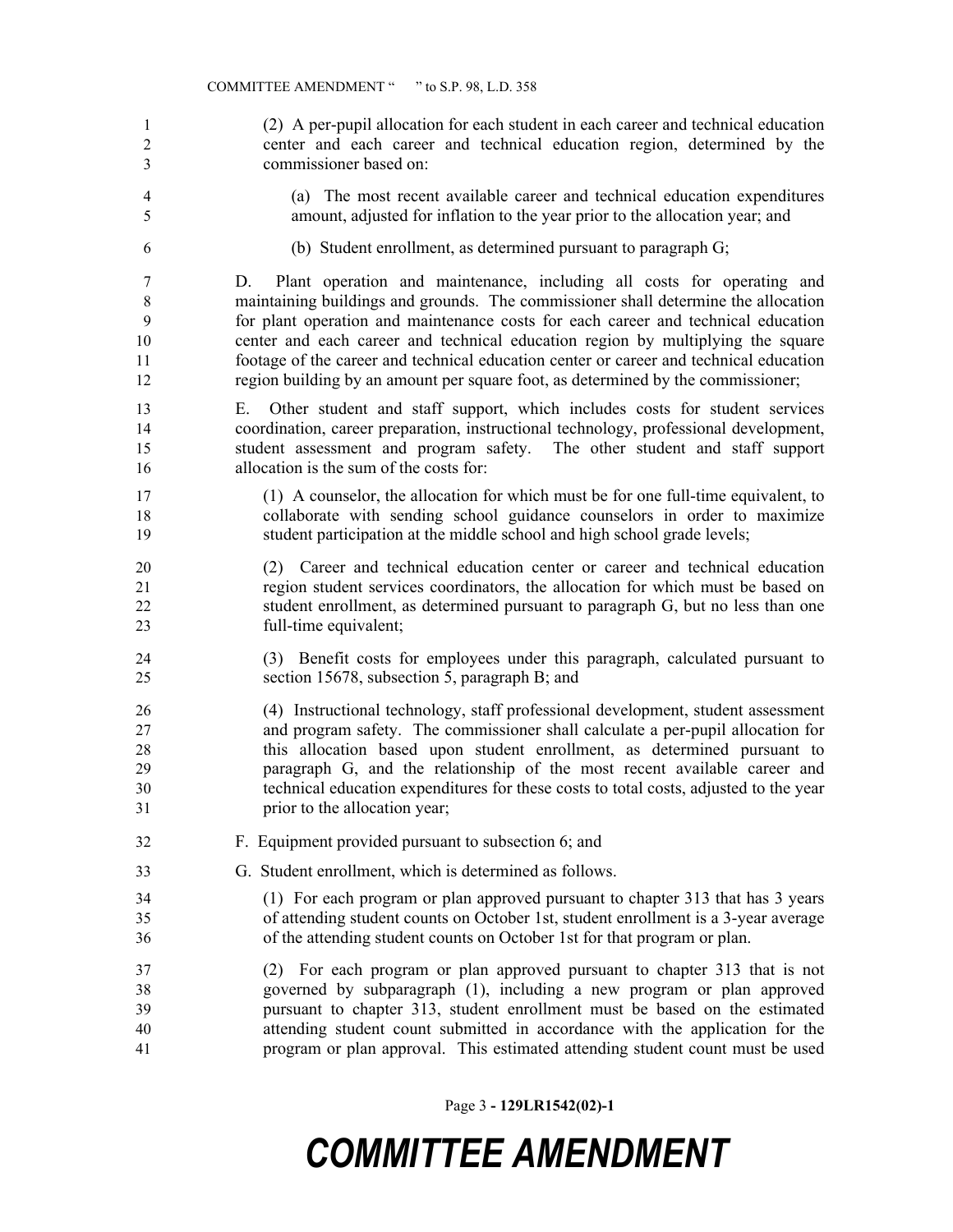(2) A per-pupil allocation for each student in each career and technical education center and each career and technical education region, determined by the commissioner based on: (a) The most recent available career and technical education expenditures amount, adjusted for inflation to the year prior to the allocation year; and (b) Student enrollment, as determined pursuant to paragraph G; D. Plant operation and maintenance, including all costs for operating and maintaining buildings and grounds. The commissioner shall determine the allocation for plant operation and maintenance costs for each career and technical education center and each career and technical education region by multiplying the square footage of the career and technical education center or career and technical education region building by an amount per square foot, as determined by the commissioner; E. Other student and staff support, which includes costs for student services coordination, career preparation, instructional technology, professional development, student assessment and program safety. The other student and staff support allocation is the sum of the costs for: (1) A counselor, the allocation for which must be for one full-time equivalent, to collaborate with sending school guidance counselors in order to maximize student participation at the middle school and high school grade levels; (2) Career and technical education center or career and technical education region student services coordinators, the allocation for which must be based on student enrollment, as determined pursuant to paragraph G, but no less than one full-time equivalent; (3) Benefit costs for employees under this paragraph, calculated pursuant to section 15678, subsection 5, paragraph B; and (4) Instructional technology, staff professional development, student assessment and program safety. The commissioner shall calculate a per-pupil allocation for this allocation based upon student enrollment, as determined pursuant to paragraph G, and the relationship of the most recent available career and technical education expenditures for these costs to total costs, adjusted to the year prior to the allocation year; F. Equipment provided pursuant to subsection 6; and G. Student enrollment, which is determined as follows. (1) For each program or plan approved pursuant to chapter 313 that has 3 years of attending student counts on October 1st, student enrollment is a 3-year average of the attending student counts on October 1st for that program or plan. (2) For each program or plan approved pursuant to chapter 313 that is not governed by subparagraph (1), including a new program or plan approved pursuant to chapter 313, student enrollment must be based on the estimated attending student count submitted in accordance with the application for the program or plan approval. This estimated attending student count must be used

Page 3 **- 129LR1542(02)-1**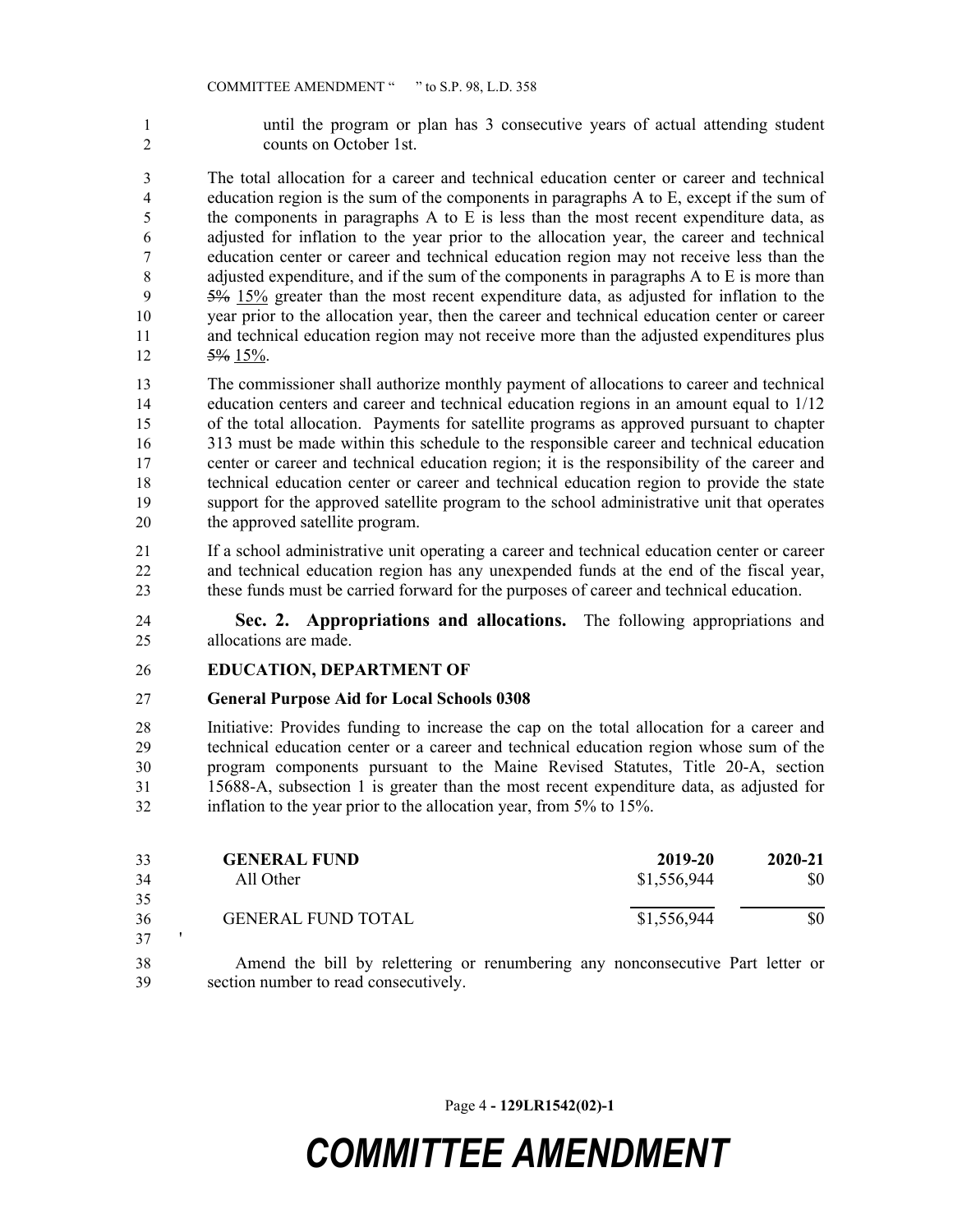until the program or plan has 3 consecutive years of actual attending student counts on October 1st.

 The total allocation for a career and technical education center or career and technical education region is the sum of the components in paragraphs A to E, except if the sum of the components in paragraphs A to E is less than the most recent expenditure data, as adjusted for inflation to the year prior to the allocation year, the career and technical education center or career and technical education region may not receive less than the adjusted expenditure, and if the sum of the components in paragraphs A to E is more than 5% 15% greater than the most recent expenditure data, as adjusted for inflation to the year prior to the allocation year, then the career and technical education center or career and technical education region may not receive more than the adjusted expenditures plus 12  $5\%$  15%.

 The commissioner shall authorize monthly payment of allocations to career and technical education centers and career and technical education regions in an amount equal to 1/12 of the total allocation. Payments for satellite programs as approved pursuant to chapter 313 must be made within this schedule to the responsible career and technical education center or career and technical education region; it is the responsibility of the career and technical education center or career and technical education region to provide the state support for the approved satellite program to the school administrative unit that operates the approved satellite program.

 If a school administrative unit operating a career and technical education center or career and technical education region has any unexpended funds at the end of the fiscal year, these funds must be carried forward for the purposes of career and technical education.

 **Sec. 2. Appropriations and allocations.** The following appropriations and allocations are made.

#### **EDUCATION, DEPARTMENT OF**

#### **General Purpose Aid for Local Schools 0308**

 Initiative: Provides funding to increase the cap on the total allocation for a career and technical education center or a career and technical education region whose sum of the program components pursuant to the Maine Revised Statutes, Title 20-A, section 15688-A, subsection 1 is greater than the most recent expenditure data, as adjusted for inflation to the year prior to the allocation year, from 5% to 15%.

| 33 | <b>GENERAL FUND</b>       | 2019-20     | $2020 - 21$ |
|----|---------------------------|-------------|-------------|
| 34 | All Other                 | \$1,556,944 | \$0         |
| 35 |                           |             |             |
| 36 | <b>GENERAL FUND TOTAL</b> | \$1,556,944 | \$0         |
| 37 |                           |             |             |

 Amend the bill by relettering or renumbering any nonconsecutive Part letter or section number to read consecutively.

Page 4 **- 129LR1542(02)-1**